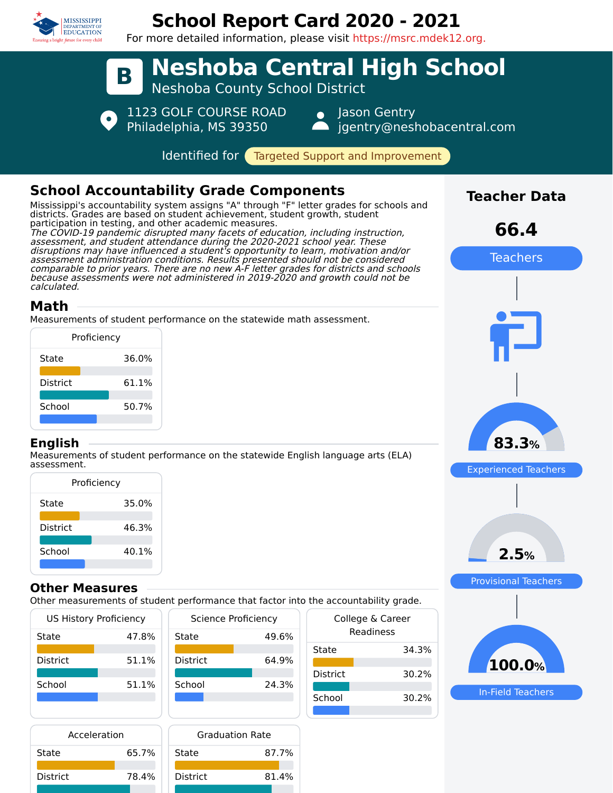

# **School Report Card 2020 - 2021**

For more detailed information, please visit https://msrc.mdek12.org.



87.7%

81.4%

| Acceleration    |       | <b>Graduation Rate</b> |  |  |  |
|-----------------|-------|------------------------|--|--|--|
| State           | 65.7% | State                  |  |  |  |
| <b>District</b> | 78.4% | <b>District</b>        |  |  |  |
|                 |       |                        |  |  |  |